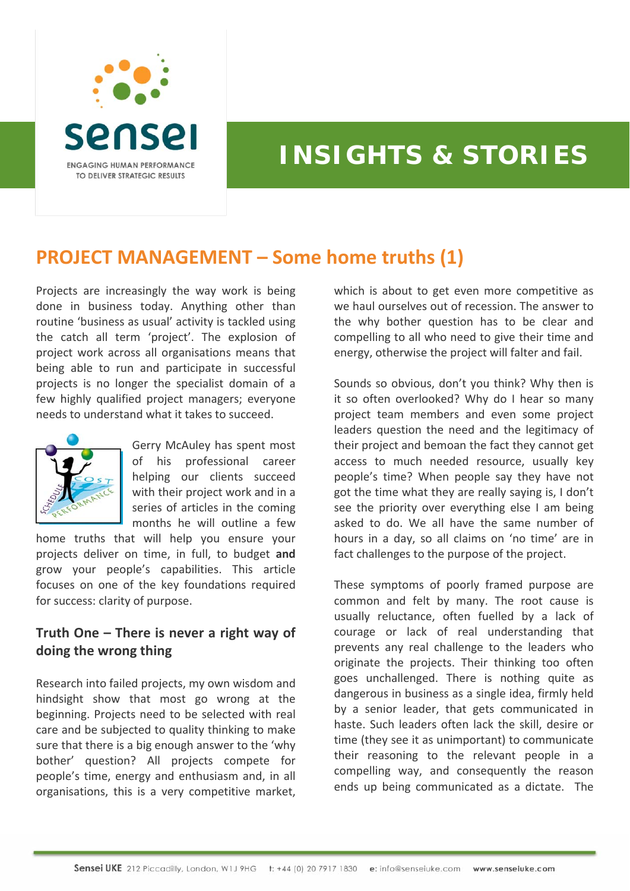

## **INSIGHTS & STORIES**

## **PROJECT MANAGEMENT – Some home truths (1)**

Projects are increasingly the way work is being done in business today. Anything other than routine 'business as usual' activity is tackled using the catch all term 'project'. The explosion of project work across all organisations means that being able to run and participate in successful projects is no longer the specialist domain of a few highly qualified project managers; everyone needs to understand what it takes to succeed.



Gerry McAuley has spent most of his professional career helping our clients succeed with their project work and in a series of articles in the coming months he will outline a few

home truths that will help you ensure your projects deliver on time, in full, to budget **and** grow your people's capabilities. This article focuses on one of the key foundations required for success: clarity of purpose.

## **Truth One – There is never a right way of doing the wrong thing**

Research into failed projects, my own wisdom and hindsight show that most go wrong at the beginning. Projects need to be selected with real care and be subjected to quality thinking to make sure that there is a big enough answer to the 'why bother' question? All projects compete for people's time, energy and enthusiasm and, in all organisations, this is a very competitive market,

which is about to get even more competitive as we haul ourselves out of recession. The answer to the why bother question has to be clear and compelling to all who need to give their time and energy, otherwise the project will falter and fail.

Sounds so obvious, don't you think? Why then is it so often overlooked? Why do I hear so many project team members and even some project leaders question the need and the legitimacy of their project and bemoan the fact they cannot get access to much needed resource, usually key people's time? When people say they have not got the time what they are really saying is, I don't see the priority over everything else I am being asked to do. We all have the same number of hours in a day, so all claims on 'no time' are in fact challenges to the purpose of the project.

These symptoms of poorly framed purpose are common and felt by many. The root cause is usually reluctance, often fuelled by a lack of courage or lack of real understanding that prevents any real challenge to the leaders who originate the projects. Their thinking too often goes unchallenged. There is nothing quite as dangerous in business as a single idea, firmly held by a senior leader, that gets communicated in haste. Such leaders often lack the skill, desire or time (they see it as unimportant) to communicate their reasoning to the relevant people in a compelling way, and consequently the reason ends up being communicated as a dictate. The